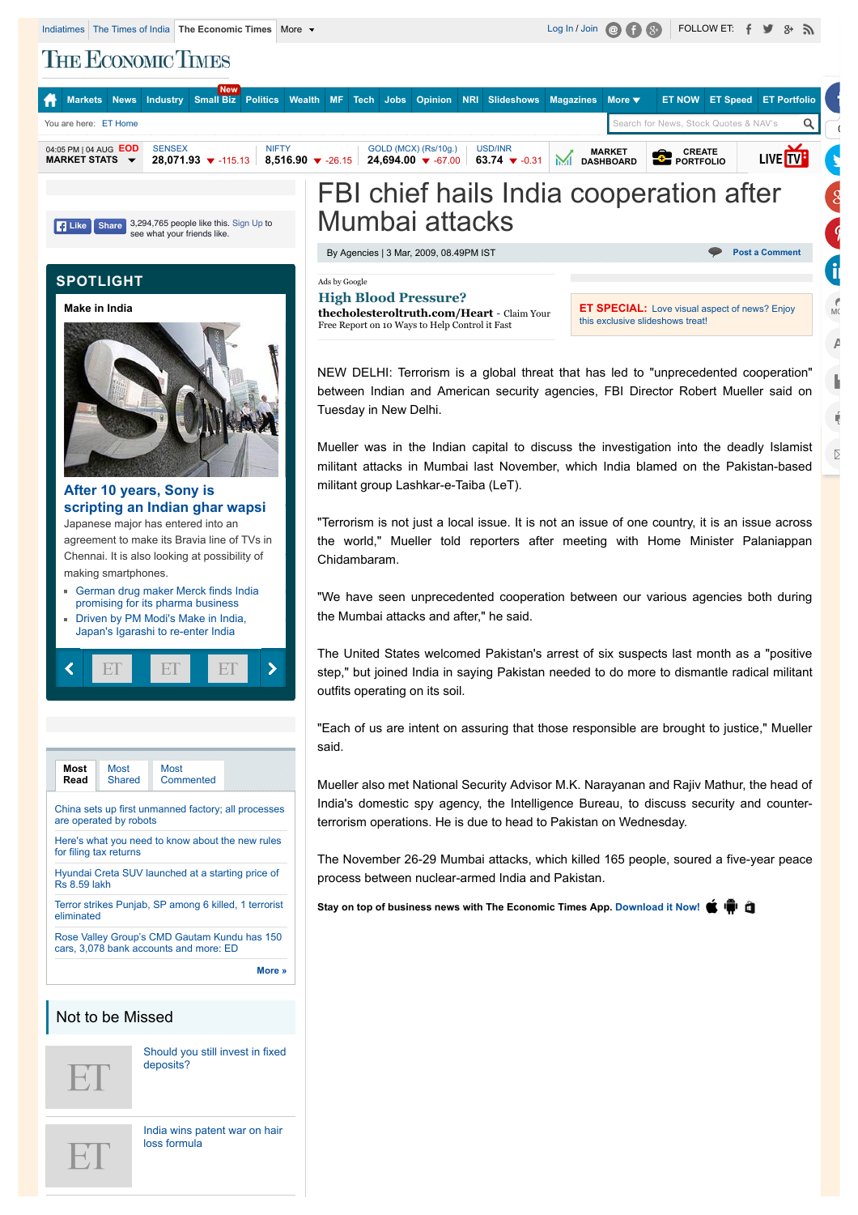**THE ECONOMIC TIMES** 

| <b>New</b><br>You are here: ET Home                                                                                                                           | Markets News Industry Small Biz Politics Wealth MF Tech Jobs Opinion NRI Slideshows Magazines More ▼<br><b>ET NOW ET Speed ET Portfolio</b><br>Search for News, Stock Quotes & NAV's                                                                                                                                                                                                                                                                                                                                         |
|---------------------------------------------------------------------------------------------------------------------------------------------------------------|------------------------------------------------------------------------------------------------------------------------------------------------------------------------------------------------------------------------------------------------------------------------------------------------------------------------------------------------------------------------------------------------------------------------------------------------------------------------------------------------------------------------------|
| 04:05 PM   04 AUG EOD<br><b>SENSEX</b><br><b>NIFTY</b><br>MARKET STATS $\rightarrow$                                                                          | GOLD (MCX) (Rs/10g.)<br><b>USD/INR</b><br><b>CREATE</b><br><b>MARKET</b><br>LIVE TV<br>28,071.93 $\blacktriangledown$ -115.13   8,516.90 $\blacktriangledown$ -26.15   24,694.00 $\blacktriangledown$ -67.00<br>63.74 $\blacktriangledown$ -0.31<br>ML<br><b>FORTFOLIO</b><br><b>DASHBOARD</b>                                                                                                                                                                                                                               |
| 3,294,765 people like this. Sign Up to<br><b>Share</b>                                                                                                        | FBI chief hails India cooperation after<br>Mumbai attacks                                                                                                                                                                                                                                                                                                                                                                                                                                                                    |
| <b>E</b> Like<br>see what your friends like.                                                                                                                  | By Agencies   3 Mar, 2009, 08.49PM IST<br><b>Post a Comment</b><br>Ads by Google<br><b>High Blood Pressure?</b><br><b>ET SPECIAL:</b> Love visual aspect of news? Enjoy<br>thecholesteroltruth.com/Heart - Claim Your<br>this exclusive slideshows treat!<br>Free Report on 10 Ways to Help Control it Fast<br>Α<br>NEW DELHI: Terrorism is a global threat that has led to "unprecedented cooperation"<br>between Indian and American security agencies, FBI Director Robert Mueller said on<br>Tuesday in New Delhi.<br>Q. |
|                                                                                                                                                               | Mueller was in the Indian capital to discuss the investigation into the deadly Islamist<br>▷<br>militant attacks in Mumbai last November, which India blamed on the Pakistan-based<br>militant group Lashkar-e-Taiba (LeT).                                                                                                                                                                                                                                                                                                  |
|                                                                                                                                                               | "Terrorism is not just a local issue. It is not an issue of one country, it is an issue across<br>the world," Mueller told reporters after meeting with Home Minister Palaniappan<br>Chidambaram.<br>"We have seen unprecedented cooperation between our various agencies both during<br>the Mumbai attacks and after," he said.                                                                                                                                                                                             |
|                                                                                                                                                               | The United States welcomed Pakistan's arrest of six suspects last month as a "positive"<br>step," but joined India in saying Pakistan needed to do more to dismantle radical militant<br>outfits operating on its soil.                                                                                                                                                                                                                                                                                                      |
| Most<br>Most<br><b>Most</b><br>Shared<br>Commented<br>Read<br>China sets up first unmanned factory; all processes<br>are operated by robots                   | 'Each of us are intent on assuring that those responsible are brought to justice," Mueller<br>said.                                                                                                                                                                                                                                                                                                                                                                                                                          |
|                                                                                                                                                               | Mueller also met National Security Advisor M.K. Narayanan and Rajiv Mathur, the head of<br>India's domestic spy agency, the Intelligence Bureau, to discuss security and counter-<br>terrorism operations. He is due to head to Pakistan on Wednesday.                                                                                                                                                                                                                                                                       |
| Here's what you need to know about the new rules<br>for filing tax returns<br>Hyundai Creta SUV launched at a starting price of<br><b>Rs 8.59 lakh</b>        | The November 26-29 Mumbai attacks, which killed 165 people, soured a five-year peace<br>process between nuclear-armed India and Pakistan.                                                                                                                                                                                                                                                                                                                                                                                    |
| Terror strikes Punjab, SP among 6 killed, 1 terrorist<br>eliminated<br>Rose Valley Group's CMD Gautam Kundu has 150<br>cars, 3,078 bank accounts and more: ED | Stay on top of business news with The Economic Times App. Download it Now! (Fig. 1)                                                                                                                                                                                                                                                                                                                                                                                                                                          |
| More »                                                                                                                                                        |                                                                                                                                                                                                                                                                                                                                                                                                                                                                                                                              |
| Not to be Missed                                                                                                                                              |                                                                                                                                                                                                                                                                                                                                                                                                                                                                                                                              |
| Should you still invest in fixed<br>deposits?<br>$\mathrel{\mathop{\boxplus}}$ .                                                                              |                                                                                                                                                                                                                                                                                                                                                                                                                                                                                                                              |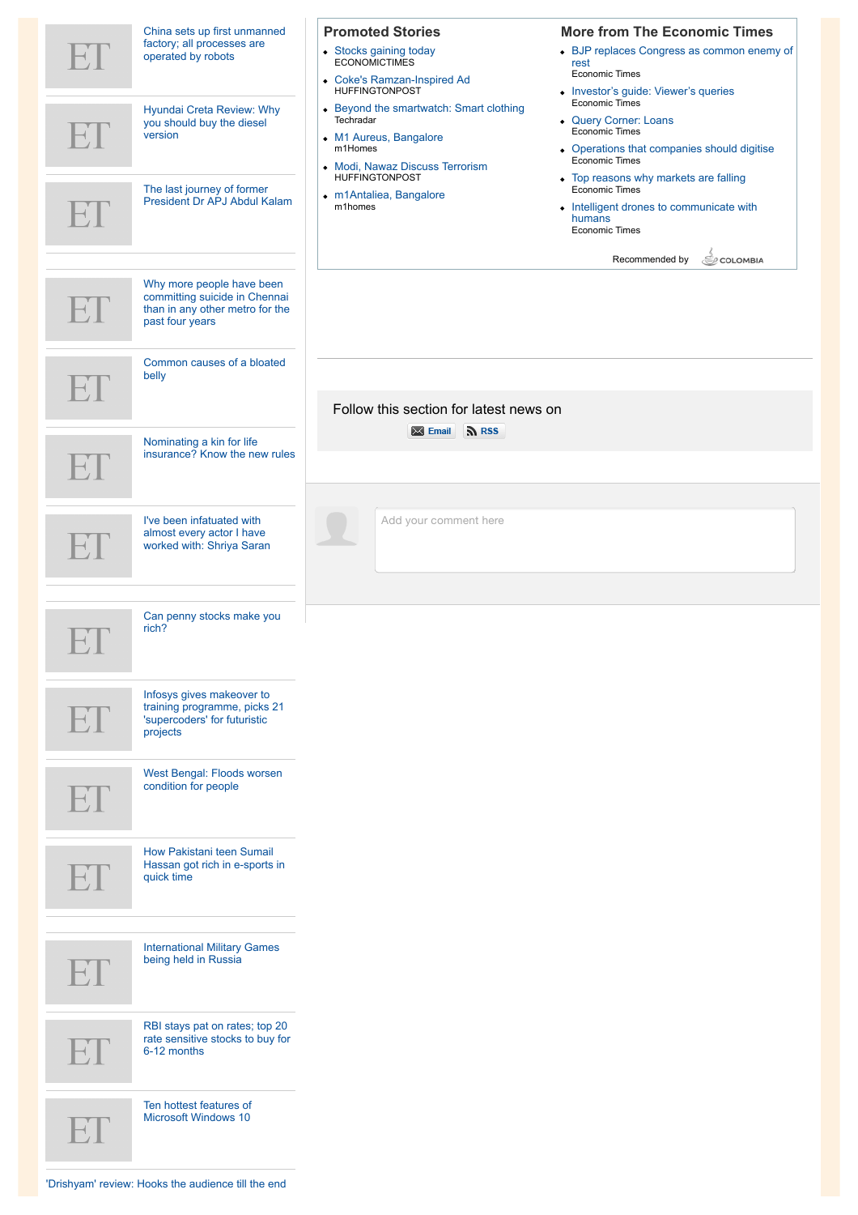| $\mathsf{H} \mathsf{I}$ | China sets up first unmanned<br>factory; all processes are<br>operated by robots                                 | <b>Promoted Stories</b><br>• Stocks gaining today<br>ECONOMICTIMES<br>• Coke's Ramzan-Inspired Ad<br><b>HUFFINGTONPOST</b>                            | <b>More from The Economic Times</b><br>• BJP replaces Congress as common enemy of<br>rest<br><b>Economic Times</b><br>• Investor's guide: Viewer's queries |
|-------------------------|------------------------------------------------------------------------------------------------------------------|-------------------------------------------------------------------------------------------------------------------------------------------------------|------------------------------------------------------------------------------------------------------------------------------------------------------------|
| EF                      | Hyundai Creta Review: Why<br>you should buy the diesel<br>version                                                | • Beyond the smartwatch: Smart clothing<br>Techradar<br>• M1 Aureus, Bangalore<br>m1Homes<br>• Modi, Nawaz Discuss Terrorism<br><b>HUFFINGTONPOST</b> | <b>Economic Times</b><br>• Query Corner: Loans<br><b>Economic Times</b><br>• Operations that companies should digitise<br>Economic Times                   |
| $\mathsf{H}.\mathsf{I}$ | The last journey of former<br>President Dr APJ Abdul Kalam                                                       | · m1Antaliea, Bangalore<br>m1homes                                                                                                                    | • Top reasons why markets are falling<br><b>Economic Times</b><br>• Intelligent drones to communicate with<br>humans<br><b>Economic Times</b>              |
| ET                      | Why more people have been<br>committing suicide in Chennai<br>than in any other metro for the<br>past four years |                                                                                                                                                       | Recommended by<br>COLOMBIA                                                                                                                                 |
|                         | Common causes of a bloated<br>belly                                                                              | Follow this section for latest news on                                                                                                                |                                                                                                                                                            |
| FT                      | Nominating a kin for life<br>insurance? Know the new rules                                                       | Email <b>NRSS</b>                                                                                                                                     |                                                                                                                                                            |
|                         | I've been infatuated with<br>almost every actor I have<br>worked with: Shriya Saran                              | Add your comment here                                                                                                                                 |                                                                                                                                                            |
| ┻┵┸                     | Can penny stocks make you<br>rich?                                                                               |                                                                                                                                                       |                                                                                                                                                            |
| $\mathbb{H}.\mathbb{I}$ | Infosys gives makeover to<br>training programme, picks 21<br>'supercoders' for futuristic<br>projects            |                                                                                                                                                       |                                                                                                                                                            |
| $\mathbb{E} \mathbb{L}$ | West Bengal: Floods worsen<br>condition for people                                                               |                                                                                                                                                       |                                                                                                                                                            |
|                         | How Pakistani teen Sumail<br>Hassan got rich in e-sports in<br>quick time                                        |                                                                                                                                                       |                                                                                                                                                            |
| FT.                     | <b>International Military Games</b><br>being held in Russia                                                      |                                                                                                                                                       |                                                                                                                                                            |
|                         | RBI stays pat on rates; top 20<br>rate sensitive stocks to buy for<br>6-12 months                                |                                                                                                                                                       |                                                                                                                                                            |
| ET.                     | Ten hottest features of<br><b>Microsoft Windows 10</b>                                                           |                                                                                                                                                       |                                                                                                                                                            |
|                         | 'Drishyam' review: Hooks the audience till the end                                                               |                                                                                                                                                       |                                                                                                                                                            |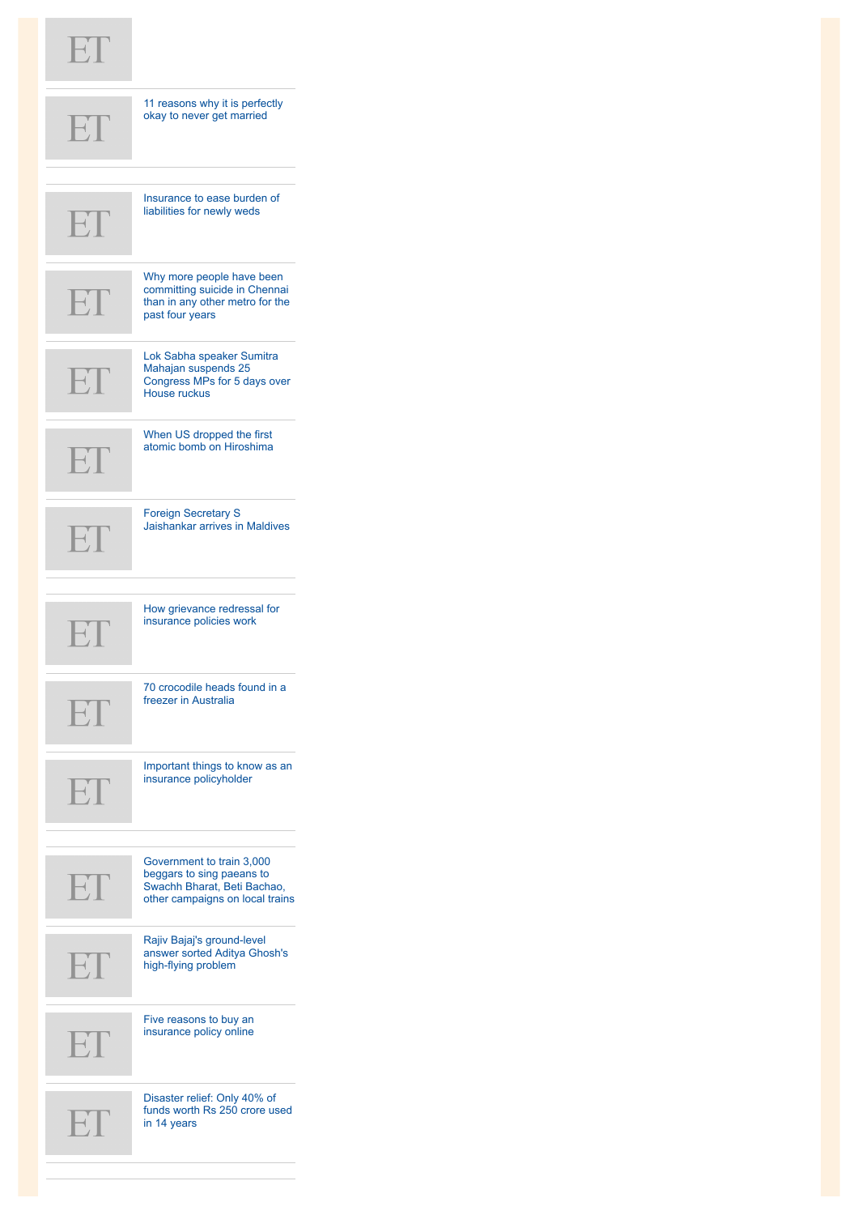## $ET$

|              | 11 reasons why it is perfectly<br>okay to never get married                                                              |
|--------------|--------------------------------------------------------------------------------------------------------------------------|
|              | Insurance to ease burden of<br>liabilities for newly weds                                                                |
| FI           | Why more people have been<br>committing suicide in Chennai<br>than in any other metro for the<br>past four years         |
|              | Lok Sabha speaker Sumitra<br>Mahajan suspends 25<br>Congress MPs for 5 days over<br>House ruckus                         |
| ET           | When US dropped the first<br>atomic bomb on Hiroshima                                                                    |
| $\mathbb{H}$ | <b>Foreign Secretary S</b><br>Jaishankar arrives in Maldives                                                             |
| EI           | How grievance redressal for<br>insurance policies work                                                                   |
|              | 70 crocodile heads found in a<br>freezer in Australia                                                                    |
| EF           | Important things to know as an<br>insurance policyholder                                                                 |
| ET           | Government to train 3,000<br>beggars to sing paeans to<br>Swachh Bharat, Beti Bachao,<br>other campaigns on local trains |
| FI           | Rajiv Bajaj's ground-level<br>answer sorted Aditya Ghosh's<br>high-flying problem                                        |
| ET           | Five reasons to buy an<br>insurance policy online                                                                        |
|              | Disaster relief: Only 40% of<br>funds worth Rs 250 crore used<br>in 14 years                                             |

m n